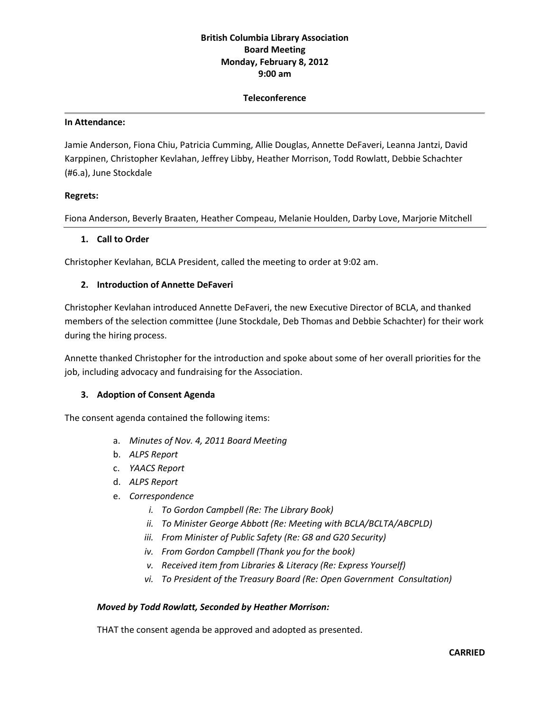# **British Columbia Library Association Board Meeting Monday, February 8, 2012 9:00 am**

#### **Teleconference**

#### **In Attendance:**

Jamie Anderson, Fiona Chiu, Patricia Cumming, Allie Douglas, Annette DeFaveri, Leanna Jantzi, David Karppinen, Christopher Kevlahan, Jeffrey Libby, Heather Morrison, Todd Rowlatt, Debbie Schachter (#6.a), June Stockdale

#### **Regrets:**

Fiona Anderson, Beverly Braaten, Heather Compeau, Melanie Houlden, Darby Love, Marjorie Mitchell

#### **1. Call to Order**

Christopher Kevlahan, BCLA President, called the meeting to order at 9:02 am.

#### **2. Introduction of Annette DeFaveri**

Christopher Kevlahan introduced Annette DeFaveri, the new Executive Director of BCLA, and thanked members of the selection committee (June Stockdale, Deb Thomas and Debbie Schachter) for their work during the hiring process.

Annette thanked Christopher for the introduction and spoke about some of her overall priorities for the job, including advocacy and fundraising for the Association.

## **3. Adoption of Consent Agenda**

The consent agenda contained the following items:

- a. *Minutes of Nov. 4, 2011 Board Meeting*
- b. *ALPS Report*
- c. *YAACS Report*
- d. *ALPS Report*
- e. *Correspondence*
	- *i. To Gordon Campbell (Re: The Library Book)*
	- *ii. To Minister George Abbott (Re: Meeting with BCLA/BCLTA/ABCPLD)*
	- *iii. From Minister of Public Safety (Re: G8 and G20 Security)*
	- *iv. From Gordon Campbell (Thank you for the book)*
	- *v. Received item from Libraries & Literacy (Re: Express Yourself)*
	- *vi. To President of the Treasury Board (Re: Open Government Consultation)*

#### *Moved by Todd Rowlatt, Seconded by Heather Morrison:*

THAT the consent agenda be approved and adopted as presented.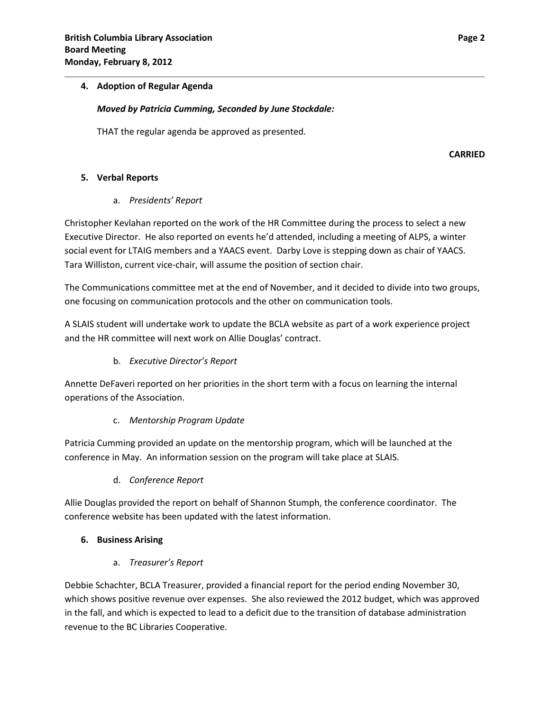## **4. Adoption of Regular Agenda**

#### *Moved by Patricia Cumming, Seconded by June Stockdale:*

THAT the regular agenda be approved as presented.

**CARRIED**

## **5. Verbal Reports**

# a. *Presidents' Report*

Christopher Kevlahan reported on the work of the HR Committee during the process to select a new Executive Director. He also reported on events he'd attended, including a meeting of ALPS, a winter social event for LTAIG members and a YAACS event. Darby Love is stepping down as chair of YAACS. Tara Williston, current vice-chair, will assume the position of section chair.

The Communications committee met at the end of November, and it decided to divide into two groups, one focusing on communication protocols and the other on communication tools.

A SLAIS student will undertake work to update the BCLA website as part of a work experience project and the HR committee will next work on Allie Douglas' contract.

b. *Executive Director's Report*

Annette DeFaveri reported on her priorities in the short term with a focus on learning the internal operations of the Association.

## c. *Mentorship Program Update*

Patricia Cumming provided an update on the mentorship program, which will be launched at the conference in May. An information session on the program will take place at SLAIS.

d. *Conference Report*

Allie Douglas provided the report on behalf of Shannon Stumph, the conference coordinator. The conference website has been updated with the latest information.

## **6. Business Arising**

a. *Treasurer's Report*

Debbie Schachter, BCLA Treasurer, provided a financial report for the period ending November 30, which shows positive revenue over expenses. She also reviewed the 2012 budget, which was approved in the fall, and which is expected to lead to a deficit due to the transition of database administration revenue to the BC Libraries Cooperative.